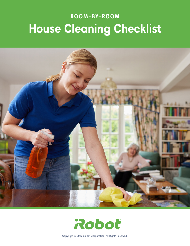# **ROOM-BY-ROOM House Cleaning Checklist**



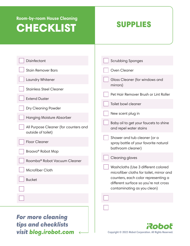### SUPPLIES

| <b>For more cleaning</b><br><b>tips and checklists</b><br>visit blog.irobot.com | Roboť                                                                                                                                                   |
|---------------------------------------------------------------------------------|---------------------------------------------------------------------------------------------------------------------------------------------------------|
|                                                                                 |                                                                                                                                                         |
| Microfiber Cloth<br><b>Bucket</b>                                               | microfiber cloths for toilet, mirror and<br>counters, each color representing a<br>different surface so you're not cross<br>contaminating as you clean) |
| Roomba® Robot Vacuum Cleaner                                                    | <b>Cleaning gloves</b><br>Washcloths (Use 3 different colored                                                                                           |
| <b>Floor Cleaner</b><br>Braava® Robot Mop                                       | Shower and tub cleaner (or a<br>spray bottle of your favorite natural<br>bathroom cleaner)                                                              |
| All Purpose Cleaner (for counters and<br>outside of toilet)                     | Baby oil to get your faucets to shine<br>and repel water stains                                                                                         |
| Dry Cleaning Powder<br><b>Hanging Moisture Absorber</b>                         | New scent plug in                                                                                                                                       |
| <b>Extend Duster</b>                                                            | Toilet bowl cleaner                                                                                                                                     |
| <b>Stainless Steel Cleaner</b>                                                  | mirrors)<br>Pet Hair Remover Brush or Lint Roller                                                                                                       |
| Laundry Whitener                                                                | Glass Cleaner (for windows and                                                                                                                          |
| <b>Stain Remover Bars</b>                                                       | Oven Cleaner                                                                                                                                            |
| <b>Disinfectant</b>                                                             | <b>Scrubbing Sponges</b>                                                                                                                                |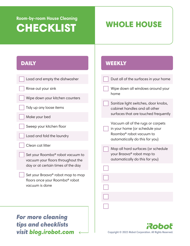## **Room-by-room House Cleaning**  CHECKLIST WHOLE HOUSE

**WEEKLY** 

### **DAILY**

| Load and empty the dishwasher                                         | Dust all of the surfaces in your home                                 |
|-----------------------------------------------------------------------|-----------------------------------------------------------------------|
| Rinse out your sink                                                   | Wipe down all windows around your<br>home                             |
| Wipe down your kitchen counters                                       |                                                                       |
| Tidy up any loose items                                               | Sanitize light switches, door knobs,<br>cabinet handles and all other |
| Make your bed                                                         | surfaces that are touched frequently                                  |
| Sweep your kitchen floor                                              | Vacuum all of the rugs or carpets<br>in your home (or schedule your   |
| Load and fold the laundry                                             | Roomba® robot vacuum to<br>automatically do this for you)             |
| Clean cat litter                                                      | Mop all hard surfaces (or schedule                                    |
| Set your Roomba® robot vacuum to<br>vacuum your floors throughout the | your Braava® robot mop to<br>automatically do this for you)           |
| day or at certain times of the day                                    |                                                                       |
| Set your Braava® robot mop to mop<br>floors once your Roomba® robot   |                                                                       |
| vacuum is done                                                        |                                                                       |
|                                                                       |                                                                       |
|                                                                       |                                                                       |
| <b>For more cleaning</b>                                              |                                                                       |

tips and checklists visit blog.irobot.com <

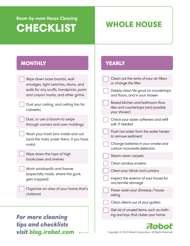## **Room-by-room House Cleaning**  CHECKLIST WHOLE HOUSE

**YEARLY** 

### **MONTHLY**

| Wipe down base boards, wall<br>smudges, light switches, doors, and           | Clean out the vents of your air filters<br>or change the filter                          |
|------------------------------------------------------------------------------|------------------------------------------------------------------------------------------|
| walls for any scuffs, handprints, paint<br>and crayon marks, and other grime | Deeply clean tile grout on countertops<br>and floors, and in your shower                 |
| Dust your ceiling, and ceiling fan for<br>cobwebs                            | Reseal kitchen and bathroom floor<br>tiles and countertops (and possibly<br>your shower) |
| Dust, or use a broom to swipe<br>through corners and over moldings           | Check your water softeners and refill<br>salt, if needed                                 |
| Wash your trash bins inside and out<br>(and the mats under them, if you have | Flush hot water from the water heater<br>to remove sediment                              |
| mats)                                                                        | Change batteries in your smoke and<br>carbon monoxide detectors                          |
| Wipe down the tops of high<br>bookcases and shelves                          | Steam clean carpets                                                                      |
|                                                                              | Clean window screens                                                                     |
| Wash windowsills and frames<br>(especially inside, where the gunk            | Clean your blinds and curtains                                                           |
| gets trapped)                                                                | Inspect the exterior of your house for<br>any termite damage                             |
| Organize an area of your home that's<br>cluttered                            | Power wash your driveway / house<br>siding                                               |
|                                                                              | Clean debris out of your gutters                                                         |
| <b>For more cleaning</b>                                                     | Get rid of unused items, such as cloth-<br>ing and toys, that clutter your home          |
| tips and checklists<br>visit blog.irobot.com                                 | Copyright © 2022 iRobot Corporation. All Rights Reserved.                                |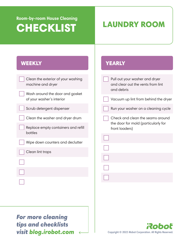## **Room-by-room House Cleaning**  CHECKLIST LAUNDRY ROOM

**YEARLY** 

### **WEEKLY**

| Clean the exterior of your washing<br>machine and dryer      | Pull out your washer and dryer<br>and clear out the vents from lint<br>and debris |
|--------------------------------------------------------------|-----------------------------------------------------------------------------------|
| Wash around the door and gasket<br>of your washer's interior | Vacuum up lint from behind the dryer                                              |
|                                                              |                                                                                   |
| Scrub detergent dispenser                                    | Run your washer on a cleaning cycle                                               |
| Clean the washer and dryer drum                              | Check and clean the seams around                                                  |
| Replace empty containers and refill<br>bottles               | the door for mold (particularly for<br>front loaders)                             |
| Wipe down counters and declutter                             |                                                                                   |
| Clean lint traps                                             |                                                                                   |
|                                                              |                                                                                   |
|                                                              |                                                                                   |
|                                                              |                                                                                   |
|                                                              |                                                                                   |
|                                                              |                                                                                   |
|                                                              |                                                                                   |
|                                                              |                                                                                   |
|                                                              |                                                                                   |

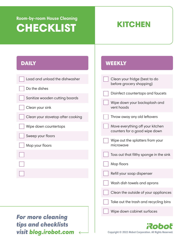**WEEKLY** 

### **DAILY**

| Load and unload the dishwasher                                           | Clean your fridge (best to do<br>before grocery shopping)         |
|--------------------------------------------------------------------------|-------------------------------------------------------------------|
| Do the dishes                                                            |                                                                   |
| Sanitize wooden cutting boards                                           | Disinfect countertops and faucets                                 |
| Clean your sink                                                          | Wipe down your backsplash and<br>vent hoods                       |
| Clean your stovetop after cooking                                        | Throw away any old leftovers                                      |
| Wipe down countertops                                                    | Move everything off your kitchen<br>counters for a good wipe down |
| Sweep your floors<br>Mop your floors                                     | Wipe out the splatters from your<br>microwave                     |
|                                                                          | Toss out that filthy sponge in the sink                           |
|                                                                          | Mop floors                                                        |
|                                                                          | Refill your soap dispenser                                        |
|                                                                          | Wash dish towels and aprons                                       |
|                                                                          | Clean the outside of your appliances                              |
|                                                                          | Take out the trash and recycling bins                             |
|                                                                          | Wipe down cabinet surfaces                                        |
| <b>For more cleaning</b><br>tips and checklists<br>visit blog.irobot.com | Copyright © 2022 iRobot Corporation. All Rights Reserved.         |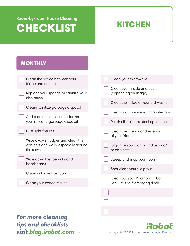### **MONTHLY**

| Clean the space between your                                                          | Clean your microwave                                        |
|---------------------------------------------------------------------------------------|-------------------------------------------------------------|
| fridge and counters                                                                   |                                                             |
| Replace your sponge or sanitize your                                                  | Clean oven inside and out<br>(depending on usage)           |
| dish brush                                                                            | Clean the inside of your dishwasher                         |
| Clean/ sanitize garbage disposal                                                      | Clean and sanitize your countertops                         |
| Add a drain cleaner/ deodorizer to<br>your sink and garbage disposal                  | Polish all stainless-steel appliances                       |
| Dust light fixtures                                                                   | Clean the interior and exterior<br>of your fridge           |
| Wipe away smudges and clean the<br>cabinets and walls, especially around<br>the stove | Organize your pantry, fridge, and/<br>or cabinets           |
| Wipe down the toe kicks and<br>baseboards                                             | Sweep and mop your floors                                   |
| Clean out your trashcan                                                               | Spot clean your tile grout                                  |
| Clean your coffee maker                                                               | Clean out your Roomba® robot<br>vacuum's self-emptying dock |
|                                                                                       |                                                             |
|                                                                                       |                                                             |
|                                                                                       |                                                             |
| <b>For more cleaning</b>                                                              |                                                             |
| tine and eheelicte                                                                    |                                                             |

tips and checklists visit blog.irobot.com <

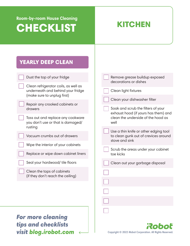| <b>YEARLY DEEP CLEAN</b>                                                                                 |                                                                                                 |
|----------------------------------------------------------------------------------------------------------|-------------------------------------------------------------------------------------------------|
| Dust the top of your fridge                                                                              | Remove grease buildup exposed<br>decorations or dishes                                          |
| Clean refrigerator coils, as well as<br>underneath and behind your fridge<br>(make sure to unplug first) | Clean light fixtures                                                                            |
| Repair any crooked cabinets or<br>drawers                                                                | Clean your dishwasher filter<br>Soak and scrub the filters of your                              |
| Toss out and replace any cookware<br>you don't use or that is damaged/                                   | exhaust hood (if yours has them) and<br>clean the underside of the hood as<br>well              |
| rusting<br>Vacuum crumbs out of drawers                                                                  | Use a thin knife or other edging tool<br>to clean gunk out of crevices around<br>stove and sink |
| Wipe the interior of your cabinets<br>Replace or wipe down cabinet liners                                | Scrub the areas under your cabinet<br>toe kicks                                                 |
| Seal your hardwood/ tile floors                                                                          | Clean out your garbage disposal                                                                 |
| Clean the tops of cabinets<br>(if they don't reach the ceiling)                                          |                                                                                                 |
| <b>For more cleaning</b><br><b>tips and checklists</b><br>visit blog.irobot.com                          | Robot<br>Copyright © 2022 iRobot Corporation. All Rights Reserved.                              |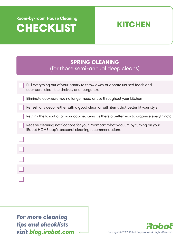

| <b>SPRING CLEANING</b><br>(for those semi-annual deep cleans)                                                                           |
|-----------------------------------------------------------------------------------------------------------------------------------------|
|                                                                                                                                         |
| Pull everything out of your pantry to throw away or donate unused foods and<br>cookware, clean the shelves, and reorganize              |
| Eliminate cookware you no longer need or use throughout your kitchen                                                                    |
| Refresh any decor, either with a good clean or with items that better fit your style                                                    |
| Rethink the layout of all your cabinet items (is there a better way to organize everything?)                                            |
| Receive cleaning notifications for your Roomba® robot vacuum by turning on your<br>iRobot HOME app's seasonal cleaning recommendations. |
|                                                                                                                                         |
|                                                                                                                                         |
|                                                                                                                                         |
|                                                                                                                                         |
|                                                                                                                                         |

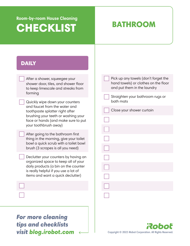### BATHROOM

### **DAILY**

| After a shower, squeegee your<br>shower door, tiles, and shower floor<br>to keep limescale and streaks from<br>forming | Pick up any towels (don't forget the<br>hand towels) or clothes on the floor<br>and put them in the laundry |
|------------------------------------------------------------------------------------------------------------------------|-------------------------------------------------------------------------------------------------------------|
| Quickly wipe down your counters                                                                                        | Straighten your bathroom rugs or<br>bath mats                                                               |
| and faucet from the water and<br>toothpaste splatter right after                                                       | Close your shower curtain                                                                                   |
| brushing your teeth or washing your<br>face or hands (and make sure to put                                             |                                                                                                             |
| your toothbrush away)                                                                                                  |                                                                                                             |
| After going to the bathroom first<br>thing in the morning, give your toilet<br>bowl a quick scrub with a toilet bowl   |                                                                                                             |
| brush (3 scrapes is all you need)                                                                                      |                                                                                                             |
| Declutter your counters by having an<br>organized space to keep all of your                                            |                                                                                                             |
| daily products (a bin on the counter<br>is really helpful if you use a lot of                                          |                                                                                                             |
| items and want a quick declutter)                                                                                      |                                                                                                             |
|                                                                                                                        |                                                                                                             |
|                                                                                                                        |                                                                                                             |
|                                                                                                                        |                                                                                                             |
| <b>For more cleaning</b>                                                                                               |                                                                                                             |

tips and checklists visit blog.irobot.com <

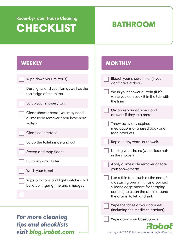### BATHROOM

**MONTHLY** 

### **WEEKLY**

| Wipe down your mirror(s)                                                    | Bleach your shower liner (if you<br>don't have a door)                                                           |
|-----------------------------------------------------------------------------|------------------------------------------------------------------------------------------------------------------|
| Dust lights and your fan as well as the<br>top ledge of the mirror          | Wash your shower curtain (if it's<br>white you can soak it in the tub with                                       |
| Scrub your shower / tub                                                     | the liner)                                                                                                       |
| Clean shower head (you may need<br>a limescale remover if you have hard     | Organize your cabinets and<br>drawers if they're a mess                                                          |
| water)                                                                      | Throw away any expired                                                                                           |
| Clean countertops                                                           | medications or unused body and<br>face products                                                                  |
| Scrub the toilet inside and out                                             | Replace any worn-out towels                                                                                      |
| Sweep and mop floors                                                        | Unclog your drains (we all lose hair<br>in the shower)                                                           |
| Put away any clutter                                                        | Apply a limescale remover or soak                                                                                |
| Wash your towels                                                            | your showerhead                                                                                                  |
| Wipe off knobs and light switches that<br>build up finger grime and smudges | Use a thin tool (such as the end of<br>a detailing brush if it has a pointed<br>silicone edge meant for scraping |
|                                                                             | corners) to clean the areas around<br>the drains, toilet, and sink                                               |
|                                                                             | Wipe the faces of your cabinets<br>(including the medicine cabinet)                                              |
| <b>For more cleaning</b><br>tips and checklists                             | Wipe down your baseboards<br>Roboľ                                                                               |
| visit blog.irobot.com                                                       | Copyright © 2022 iRobot Corporation. All Rights Reserved.                                                        |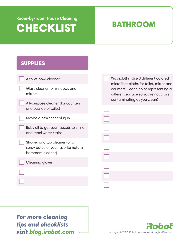### BATHROOM

### SUPPLIES

| A toilet bowl cleaner                                                                      | Washcloths (Use 3 different colored<br>microfiber cloths for toilet, mirror and |
|--------------------------------------------------------------------------------------------|---------------------------------------------------------------------------------|
| Glass cleaner for windows and<br>mirrors                                                   | counters - each color representing a<br>different surface so you're not cross   |
| All-purpose cleaner (for counters<br>and outside of toilet)                                | contaminating as you clean)                                                     |
| Maybe a new scent plug in                                                                  |                                                                                 |
| Baby oil to get your faucets to shine<br>and repel water stains                            |                                                                                 |
| Shower and tub cleaner (or a<br>spray bottle of your favorite natural<br>bathroom cleaner) |                                                                                 |
| <b>Cleaning gloves</b>                                                                     |                                                                                 |
|                                                                                            |                                                                                 |
|                                                                                            |                                                                                 |
|                                                                                            |                                                                                 |
| more<br>clean                                                                              |                                                                                 |

or more cleaning LF tips and checklists visit blog.irobot.com <

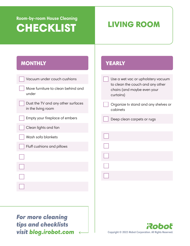## **Room-by-room House Cleaning**  CHECKLIST LIVING ROOM

**YEARLY** 

### **MONTHLY**

| Vacuum under couch cushions                              | Use a wet vac or upholstery vacuum                                           |
|----------------------------------------------------------|------------------------------------------------------------------------------|
| Move furniture to clean behind and<br>under              | to clean the couch and any other<br>chairs (and maybe even your<br>curtains) |
| Dust the TV and any other surfaces<br>in the living room | Organize tv stand and any shelves or<br>cabinets                             |
| Empty your fireplace of embers                           | Deep clean carpets or rugs                                                   |
| Clean lights and fan                                     |                                                                              |
| Wash sofa blankets                                       |                                                                              |
| Fluff cushions and pillows                               |                                                                              |
|                                                          |                                                                              |
|                                                          |                                                                              |
|                                                          |                                                                              |
|                                                          |                                                                              |
|                                                          |                                                                              |
|                                                          |                                                                              |
|                                                          |                                                                              |